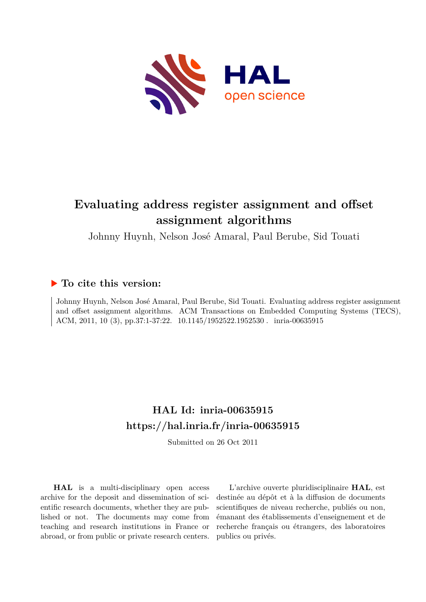

# **Evaluating address register assignment and offset assignment algorithms**

Johnny Huynh, Nelson José Amaral, Paul Berube, Sid Touati

## **To cite this version:**

Johnny Huynh, Nelson José Amaral, Paul Berube, Sid Touati. Evaluating address register assignment and offset assignment algorithms. ACM Transactions on Embedded Computing Systems (TECS), ACM, 2011, 10 (3), pp.37:1-37:22. 10.1145/1952522.1952530. inria-00635915

# **HAL Id: inria-00635915 <https://hal.inria.fr/inria-00635915>**

Submitted on 26 Oct 2011

**HAL** is a multi-disciplinary open access archive for the deposit and dissemination of scientific research documents, whether they are published or not. The documents may come from teaching and research institutions in France or abroad, or from public or private research centers.

L'archive ouverte pluridisciplinaire **HAL**, est destinée au dépôt et à la diffusion de documents scientifiques de niveau recherche, publiés ou non, émanant des établissements d'enseignement et de recherche français ou étrangers, des laboratoires publics ou privés.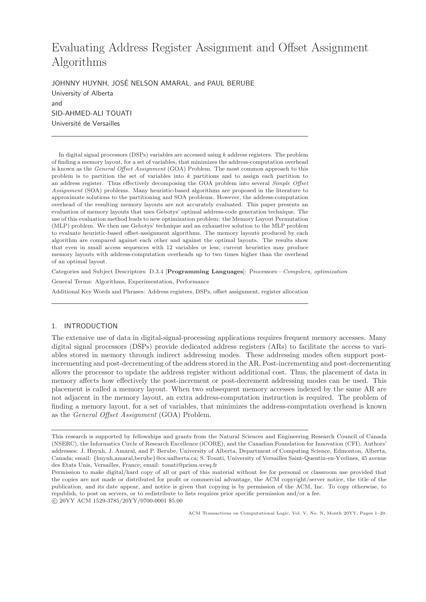## Evaluating Address Register Assignment and Offset Assignment Algorithms

JOHNNY HUYNH, JOSÉ NELSON AMARAL, and PAUL BERUBE University of Alberta and SID-AHMED-ALI TOUATI Université de Versailles

In digital signal processors (DSPs) variables are accessed using  $k$  address registers. The problem of finding a memory layout, for a set of variables, that minimizes the address-computation overhead is known as the General Offset Assignment (GOA) Problem. The most common approach to this problem is to partition the set of variables into  $k$  partitions and to assign each partition to an address register. Thus effectively decomposing the GOA problem into several Simple Offset Assignment (SOA) problems. Many heuristic-based algorithms are proposed in the literature to approximate solutions to the partitioning and SOA problems. However, the address-computation overhead of the resulting memory layouts are not accurately evaluated. This paper presents an evaluation of memory layouts that uses Gebotys' optimal address-code generation technique. The use of this evaluation method leads to new optimization problem: the Memory Layout Permutation (MLP) problem. We then use Gebotys' technique and an exhaustive solution to the MLP problem to evaluate heuristic-based offset-assignment algorithms. The memory layouts produced by each algorithm are compared against each other and against the optimal layouts. The results show that even in small access sequences with 12 variables or less, current heuristics may produce memory layouts with address-computation overheads up to two times higher than the overhead of an optimal layout.

Categories and Subject Descriptors: D.3.4 [Programming Languages]: Processors—Compilers, optimization General Terms: Algorithms, Experimentation, Performance

Additional Key Words and Phrases: Address registers, DSPs, offset assignment, register allocation

### 1. INTRODUCTION

The extensive use of data in digital-signal-processing applications requires frequent memory accesses. Many digital signal processors (DSPs) provide dedicated address registers (ARs) to facilitate the access to variables stored in memory through indirect addressing modes. These addressing modes often support postincrementing and post-decrementing of the address stored in the AR. Post-incrementing and post-decrementing allows the processor to update the address register without additional cost. Thus, the placement of data in memory affects how effectively the post-increment or post-decrement addressing modes can be used. This placement is called a memory layout. When two subsequent memory accesses indexed by the same AR are not adjacent in the memory layout, an extra address-computation instruction is required. The problem of finding a memory layout, for a set of variables, that minimizes the address-computation overhead is known as the General Offset Assignment (GOA) Problem.

°c 20YY ACM 1529-3785/20YY/0700-0001 \$5.00

ACM Transactions on Computational Logic, Vol. V, No. N, Month 20YY, Pages 1–20.

This research is supported by fellowships and grants from the Natural Sciences and Engineering Research Council of Canada (NSERC), the Informatics Circle of Research Excellence (iCORE), and the Canadian Foundation for Innovation (CFI). Authors' addresses: J. Huynh, J. Amaral, and P. Berube, University of Alberta, Department of Computing Science, Edmonton, Alberta, Canada; email: {huynh,amaral,berube}@cs.ualberta.ca; S. Touati, University of Versailles Saint-Quentin-en-Yvelines, 45 avenue des Etats Unis, Versailles, France; email: touati@prism.uvsq.fr

Permission to make digital/hard copy of all or part of this material without fee for personal or classroom use provided that the copies are not made or distributed for profit or commercial advantage, the ACM copyright/server notice, the title of the publication, and its date appear, and notice is given that copying is by permission of the ACM, Inc. To copy otherwise, to republish, to post on servers, or to redistribute to lists requires prior specific permission and/or a fee.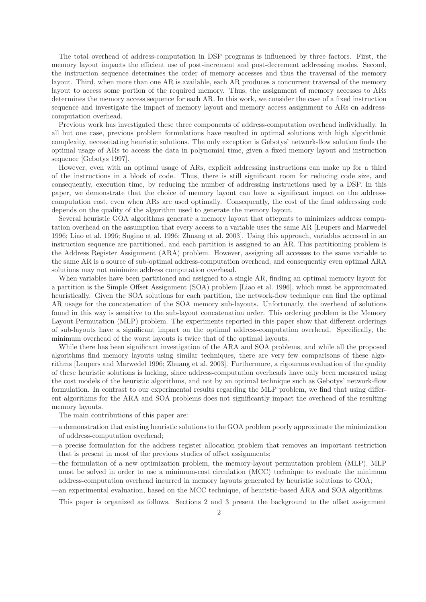The total overhead of address-computation in DSP programs is influenced by three factors. First, the memory layout impacts the efficient use of post-increment and post-decrement addressing modes. Second, the instruction sequence determines the order of memory accesses and thus the traversal of the memory layout. Third, when more than one AR is available, each AR produces a concurrent traversal of the memory layout to access some portion of the required memory. Thus, the assignment of memory accesses to ARs determines the memory access sequence for each AR. In this work, we consider the case of a fixed instruction sequence and investigate the impact of memory layout and memory access assignment to ARs on addresscomputation overhead.

Previous work has investigated these three components of address-computation overhead individually. In all but one case, previous problem formulations have resulted in optimal solutions with high algorithmic complexity, necessitating heuristic solutions. The only exception is Gebotys' network-flow solution finds the optimal usage of ARs to access the data in polynomial time, given a fixed memory layout and instruction sequence [Gebotys 1997].

However, even with an optimal usage of ARs, explicit addressing instructions can make up for a third of the instructions in a block of code. Thus, there is still significant room for reducing code size, and consequently, execution time, by reducing the number of addressing instructions used by a DSP. In this paper, we demonstrate that the choice of memory layout can have a significant impact on the addresscomputation cost, even when ARs are used optimally. Consequently, the cost of the final addressing code depends on the quality of the algorithm used to generate the memory layout.

Several heuristic GOA algorithms generate a memory layout that attepmts to minimizes address computation overhead on the assumption that every access to a variable uses the same AR [Leupers and Marwedel 1996; Liao et al. 1996; Sugino et al. 1996; Zhuang et al. 2003]. Using this approach, variables accessed in an instruction sequence are partitioned, and each partition is assigned to an AR. This partitioning problem is the Address Register Assignment (ARA) problem. However, assigning all accesses to the same variable to the same AR is a source of sub-optimal address-computation overhead, and consequently even optimal ARA solutions may not minimize address computation overhead.

When variables have been partitioned and assigned to a single AR, finding an optimal memory layout for a partition is the Simple Offset Assignment (SOA) problem [Liao et al. 1996], which must be approximated heuristically. Given the SOA solutions for each partition, the network-flow technique can find the optimal AR usage for the concatenation of the SOA memory sub-layouts. Unfortunatly, the overhead of solutions found in this way is sensitive to the sub-layout concatenation order. This ordering problem is the Memory Layout Permutation (MLP) problem. The experiments reported in this paper show that different orderings of sub-layouts have a significant impact on the optimal address-computation overhead. Specifically, the minimum overhead of the worst layouts is twice that of the optimal layouts.

While there has been significant investigation of the ARA and SOA problems, and while all the proposed algorithms find memory layouts using similar techniques, there are very few comparisons of these algorithms [Leupers and Marwedel 1996; Zhuang et al. 2003]. Furthermore, a rigourous evaluation of the quality of these heuristic solutions is lacking, since address-computation overheads have only been measured using the cost models of the heuristic algorithms, and not by an optimal technique such as Gebotys' network-flow formulation. In contrast to our experimental results regarding the MLP problem, we find that using different algorithms for the ARA and SOA problems does not significantly impact the overhead of the resulting memory layouts.

The main contributions of this paper are:

- —a demonstration that existing heuristic solutions to the GOA problem poorly approximate the minimization of address-computation overhead;
- —a precise formulation for the address register allocation problem that removes an important restriction that is present in most of the previous studies of offset assignments;
- —the formulation of a new optimization problem, the memory-layout permutation problem (MLP). MLP must be solved in order to use a minimum-cost circulation (MCC) technique to evaluate the minimum address-computation overhead incurred in memory layouts generated by heuristic solutions to GOA;
- —an experimental evaluation, based on the MCC technique, of heuristic-based ARA and SOA algorithms.

This paper is organized as follows. Sections 2 and 3 present the background to the offset assignment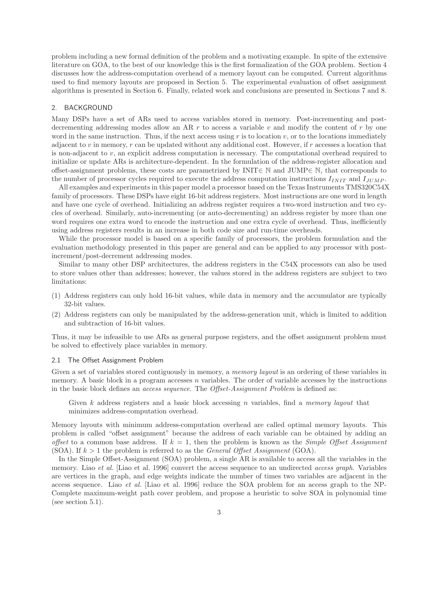problem including a new formal definition of the problem and a motivating example. In spite of the extensive literature on GOA, to the best of our knowledge this is the first formalization of the GOA problem. Section 4 discusses how the address-computation overhead of a memory layout can be computed. Current algorithms used to find memory layouts are proposed in Section 5. The experimental evaluation of offset assignment algorithms is presented in Section 6. Finally, related work and conclusions are presented in Sections 7 and 8.

### 2. BACKGROUND

Many DSPs have a set of ARs used to access variables stored in memory. Post-incrementing and postdecrementing addressing modes allow an AR  $r$  to access a variable  $v$  and modify the content of  $r$  by one word in the same instruction. Thus, if the next access using  $r$  is to location  $v$ , or to the locations immediately adjacent to v in memory,  $r$  can be updated without any additional cost. However, if  $r$  accesses a location that is non-adjacent to  $v$ , an explicit address computation is necessary. The computational overhead required to initialize or update ARs is architecture-dependent. In the formulation of the address-register allocation and offset-assignment problems, these costs are parametrized by INIT∈ N and JUMP∈ N, that corresponds to the number of processor cycles required to execute the address computation instructions  $I_{INIT}$  and  $I_{JUMP}$ .

All examples and experiments in this paper model a processor based on the Texas Instruments TMS320C54X family of processors. These DSPs have eight 16-bit address registers. Most instructions are one word in length and have one cycle of overhead. Initializing an address register requires a two-word instruction and two cycles of overhead. Similarly, auto-incrementing (or auto-decrementing) an address register by more than one word requires one extra word to encode the instruction and one extra cycle of overhead. Thus, inefficiently using address registers results in an increase in both code size and run-time overheads.

While the processor model is based on a specific family of processors, the problem formulation and the evaluation methodology presented in this paper are general and can be applied to any processor with postincrement/post-decrement addressing modes.

Similar to many other DSP architectures, the address registers in the C54X processors can also be used to store values other than addresses; however, the values stored in the address registers are subject to two limitations:

- (1) Address registers can only hold 16-bit values, while data in memory and the accumulator are typically 32-bit values.
- (2) Address registers can only be manipulated by the address-generation unit, which is limited to addition and subtraction of 16-bit values.

Thus, it may be infeasible to use ARs as general purpose registers, and the offset assignment problem must be solved to effectively place variables in memory.

#### 2.1 The Offset Assignment Problem

Given a set of variables stored contiguously in memory, a memory layout is an ordering of these variables in memory. A basic block in a program accesses n variables. The order of variable accesses by the instructions in the basic block defines an *access sequence*. The *Offset-Assignment Problem* is defined as:

Given k address registers and a basic block accessing n variables, find a memory layout that minimizes address-computation overhead.

Memory layouts with minimum address-computation overhead are called optimal memory layouts. This problem is called "offset assignment" because the address of each variable can be obtained by adding an offset to a common base address. If  $k = 1$ , then the problem is known as the *Simple Offset Assignment* (SOA). If  $k > 1$  the problem is referred to as the *General Offset Assignment* (GOA).

In the Simple Offset-Assignment (SOA) problem, a single AR is available to access all the variables in the memory. Liao et al. [Liao et al. 1996] convert the access sequence to an undirected access graph. Variables are vertices in the graph, and edge weights indicate the number of times two variables are adjacent in the access sequence. Liao et al. [Liao et al. 1996] reduce the SOA problem for an access graph to the NP-Complete maximum-weight path cover problem, and propose a heuristic to solve SOA in polynomial time (see section 5.1).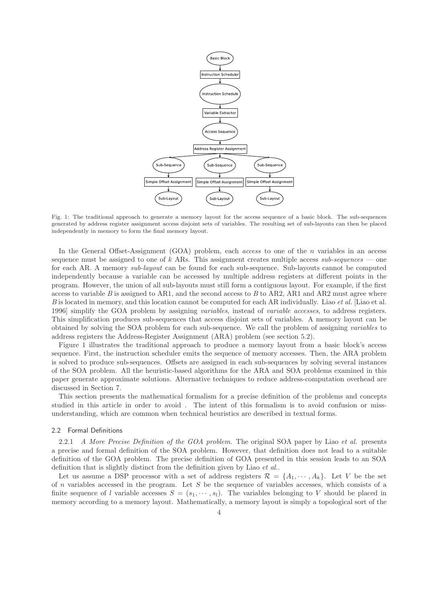

Fig. 1: The traditional approach to generate a memory layout for the access sequence of a basic block. The sub-sequences generated by address register assignment access disjoint sets of variables. The resulting set of sub-layouts can then be placed independently in memory to form the final memory layout.

In the General Offset-Assignment (GOA) problem, each *access* to one of the *n* variables in an access sequence must be assigned to one of k ARs. This assignment creates multiple access  $sub-sequences$  — one for each AR. A memory sub-layout can be found for each sub-sequence. Sub-layouts cannot be computed independently because a variable can be accessed by multiple address registers at different points in the program. However, the union of all sub-layouts must still form a contiguous layout. For example, if the first access to variable B is assigned to AR1, and the second access to B to AR2, AR1 and AR2 must agree where B is located in memory, and this location cannot be computed for each AR individually. Liao *et al.* [Liao et al.] 1996] simplify the GOA problem by assigning variables, instead of variable accesses, to address registers. This simplification produces sub-sequences that access disjoint sets of variables. A memory layout can be obtained by solving the SOA problem for each sub-sequence. We call the problem of assigning variables to address registers the Address-Register Assignment (ARA) problem (see section 5.2).

Figure 1 illustrates the traditional approach to produce a memory layout from a basic block's access sequence. First, the instruction scheduler emits the sequence of memory accesses. Then, the ARA problem is solved to produce sub-sequences. Offsets are assigned in each sub-sequences by solving several instances of the SOA problem. All the heuristic-based algorithms for the ARA and SOA problems examined in this paper generate approximate solutions. Alternative techniques to reduce address-computation overhead are discussed in Section 7.

This section presents the mathematical formalism for a precise definition of the problems and concepts studied in this article in order to avoid . The intent of this formalism is to avoid confusion or missunderstanding, which are common when technical heuristics are described in textual forms.

#### 2.2 Formal Definitions

2.2.1 A More Precise Definition of the GOA problem. The original SOA paper by Liao et al. presents a precise and formal definition of the SOA problem. However, that definition does not lead to a suitable definition of the GOA problem. The precise definition of GOA presented in this session leads to an SOA definition that is slightly distinct from the definition given by Liao et al..

Let us assume a DSP processor with a set of address registers  $\mathcal{R} = \{A_1, \dots, A_k\}$ . Let V be the set of n variables accessed in the program. Let  $S$  be the sequence of variables accesses, which consists of a finite sequence of l variable accesses  $S = (s_1, \dots, s_l)$ . The variables belonging to V should be placed in memory according to a memory layout. Mathematically, a memory layout is simply a topological sort of the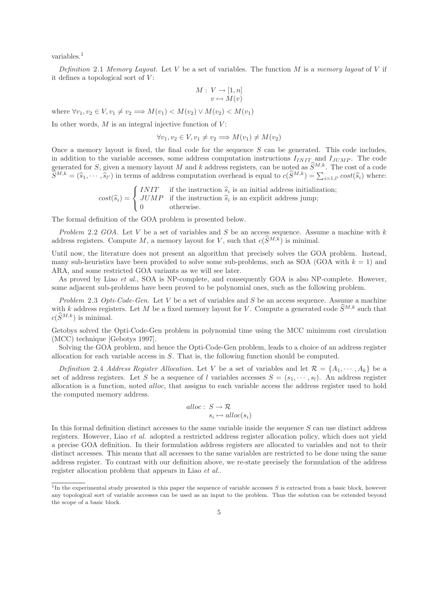variables.<sup>1</sup>

Definition 2.1 Memory Layout. Let V be a set of variables. The function  $M$  is a memory layout of V if it defines a topological sort of  $V$ :

$$
M: V \to [1, n]
$$

$$
v \mapsto M(v)
$$

where  $\forall v_1, v_2 \in V, v_1 \neq v_2 \Longrightarrow M(v_1) < M(v_2) \lor M(v_2) < M(v_1)$ 

In other words,  $M$  is an integral injective function of  $V$ :

$$
\forall v_1, v_2 \in V, v_1 \neq v_2 \Longrightarrow M(v_1) \neq M(v_2)
$$

Once a memory layout is fixed, the final code for the sequence S can be generated. This code includes, in addition to the variable accesses, some address computation instructions  $I_{INIT}$  and  $I_{JUMP}$ . The code generated for S, given a memory layout M and k address registers, can be noted as  $\widehat{S}^{M,k}$ . The cost of a code  $\widehat{S}^{M,k} = (\widehat{s}_1, \cdots, \widehat{s}_{l'})$  in terms of address computation overhead is equal to  $c(\widehat{S}^{M,k}) = \sum_{i=1,l'} cost(\widehat{s}_i)$  where:

$$
cost(\widehat{s}_i) = \begin{cases} \text{INIT} & \text{if the instruction } \widehat{s}_i \text{ is an initial address initialization;} \\ \text{JUMP} & \text{if the instruction } \widehat{s}_i \text{ is an explicit address jump;} \\ 0 & \text{otherwise.} \end{cases}
$$

The formal definition of the GOA problem is presented below.

Problem 2.2 GOA. Let V be a set of variables and S be an access sequence. Assume a machine with  $k$ address registers. Compute M, a memory layout for V, such that  $c(\widehat{S}^{M,k})$  is minimal.

Until now, the literature does not present an algorithm that precisely solves the GOA problem. Instead, many sub-heuristics have been provided to solve some sub-problems, such as SOA (GOA with  $k = 1$ ) and ARA, and some restricted GOA variants as we will see later.

As proved by Liao et al., SOA is NP-complete, and consequently GOA is also NP-complete. However, some adjacent sub-problems have been proved to be polynomial ones, such as the following problem.

Problem 2.3 Opti-Code-Gen. Let V be a set of variables and S be an access sequence. Assume a machine with k address registers. Let M be a fixed memory layout for V. Compute a generated code  $\widehat{S}^{M,k}$  such that  $c(\widehat{S}^{M,k})$  is minimal.

Getobys solved the Opti-Code-Gen problem in polynomial time using the MCC minimum cost circulation (MCC) technique [Gebotys 1997].

Solving the GOA problem, and hence the Opti-Code-Gen problem, leads to a choice of an address register allocation for each variable access in S. That is, the following function should be computed.

Definition 2.4 Address Register Allocation. Let V be a set of variables and let  $\mathcal{R} = \{A_1, \dots, A_k\}$  be a set of address registers. Let S be a sequence of l variables accesses  $S = (s_1, \dots, s_l)$ . An address register allocation is a function, noted alloc, that assigns to each variable access the address register used to hold the computed memory address.

$$
alloc: S \to \mathcal{R}
$$

$$
s_i \mapsto alloc(s_i)
$$

In this formal definition distinct accesses to the same variable inside the sequence S can use distinct address registers. However, Liao et al. adopted a restricted address register allocation policy, which does not yield a precise GOA definition. In their formulation address registers are allocated to variables and not to their distinct accesses. This means that all accesses to the same variables are restricted to be done using the same address register. To contrast with our definition above, we re-state precisely the formulation of the address register allocation problem that appears in Liao et al..

<sup>&</sup>lt;sup>1</sup>In the experimental study presented is this paper the sequence of variable accesses  $S$  is extracted from a basic block, however any topological sort of variable accesses can be used as an input to the problem. Thus the solution can be extended beyond the scope of a basic block.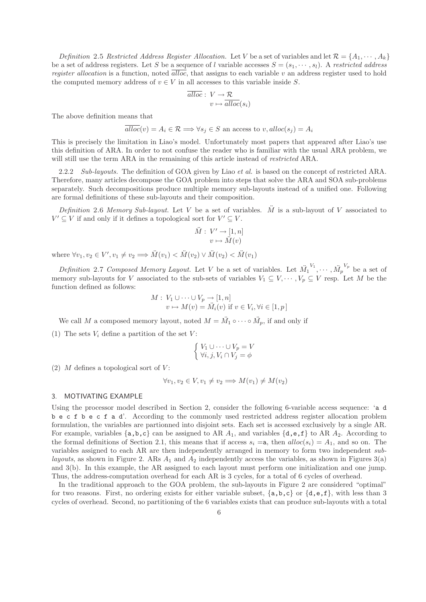Definition 2.5 Restricted Address Register Allocation. Let V be a set of variables and let  $\mathcal{R} = \{A_1, \dots, A_k\}$ be a set of address registers. Let S be a sequence of l variable accesses  $S = (s_1, \dots, s_l)$ . A restricted address register allocation is a function, noted  $\overline{alloc}$ , that assigns to each variable v an address register used to hold the computed memory address of  $v \in V$  in all accesses to this variable inside S.

$$
\overline{alloc}: V \to \mathcal{R}
$$

$$
v \mapsto \overline{alloc(s_i)}
$$

The above definition means that

$$
\overline{alloc}(v) = A_i \in \mathcal{R} \Longrightarrow \forall s_j \in S \text{ an access to } v, \text{alloc}(s_j) = A_i
$$

This is precisely the limitation in Liao's model. Unfortunately most papers that appeared after Liao's use this definition of ARA. In order to not confuse the reader who is familiar with the usual ARA problem, we will still use the term ARA in the remaining of this article instead of *restricted* ARA.

2.2.2 Sub-layouts. The definition of GOA given by Liao et al. is based on the concept of restricted ARA. Therefore, many articles decompose the GOA problem into steps that solve the ARA and SOA sub-problems separately. Such decompositions produce multiple memory sub-layouts instead of a unified one. Following are formal definitions of these sub-layouts and their composition.

Definition 2.6 Memory Sub-layout. Let V be a set of variables.  $\ddot{M}$  is a sub-layout of V associated to  $V' \subseteq V$  if and only if it defines a topological sort for  $V' \subseteq V$ .

$$
\ddot{M}: V' \to [1, n]
$$

$$
v \mapsto \ddot{M}(v)
$$

where  $\forall v_1, v_2 \in V', v_1 \neq v_2 \Longrightarrow \widetilde{M}(v_1) < \widetilde{M}(v_2) \lor \widetilde{M}(v_2) < \widetilde{M}(v_1)$ 

Definition 2.7 Composed Memory Layout. Let V be a set of variables. Let  $\ddot{M_1}$  $\tilde{W}_1, \cdots, \tilde{W}_p^{V_p}$  be a set of memory sub-layouts for V associated to the sub-sets of variables  $V_1 \subset V, \cdots, V_p \subset V$  resp. Let M be the function defined as follows:

$$
M: V_1 \cup \cdots \cup V_p \to [1, n]
$$
  

$$
v \mapsto M(v) = \tilde{M}_i(v) \text{ if } v \in V_i, \forall i \in [1, p]
$$

We call M a composed memory layout, noted  $M = \ddot{M}_1 \circ \cdots \circ \ddot{M}_p$ , if and only if

(1) The sets  $V_i$  define a partition of the set  $V$ :

$$
\begin{cases} V_1 \cup \dots \cup V_p = V \\ \forall i, j, V_i \cap V_j = \phi \end{cases}
$$

(2)  $M$  defines a topological sort of  $V$ :

$$
\forall v_1, v_2 \in V, v_1 \neq v_2 \Longrightarrow M(v_1) \neq M(v_2)
$$

## 3. MOTIVATING EXAMPLE

Using the processor model described in Section 2, consider the following 6-variable access sequence: 'a d b e c f b e c f a d'. According to the commonly used restricted address register allocation problem formulation, the variables are partionned into disjoint sets. Each set is accessed exclusively by a single AR. For example, variables  $\{a,b,c\}$  can be assigned to AR  $A_1$ , and variables  $\{d,e,f\}$  to AR  $A_2$ . According to the formal definitions of Section 2.1, this means that if access  $s_i = a$ , then  $alloc(s_i) = A_1$ , and so on. The variables assigned to each AR are then independently arranged in memory to form two independent sublayouts, as shown in Figure 2. ARs  $A_1$  and  $A_2$  independently access the variables, as shown in Figures 3(a) and 3(b). In this example, the AR assigned to each layout must perform one initialization and one jump. Thus, the address-computation overhead for each AR is 3 cycles, for a total of 6 cycles of overhead.

In the traditional approach to the GOA problem, the sub-layouts in Figure 2 are considered "optimal" for two reasons. First, no ordering exists for either variable subset,  $\{a,b,c\}$  or  $\{d,e,f\}$ , with less than 3 cycles of overhead. Second, no partitioning of the 6 variables exists that can produce sub-layouts with a total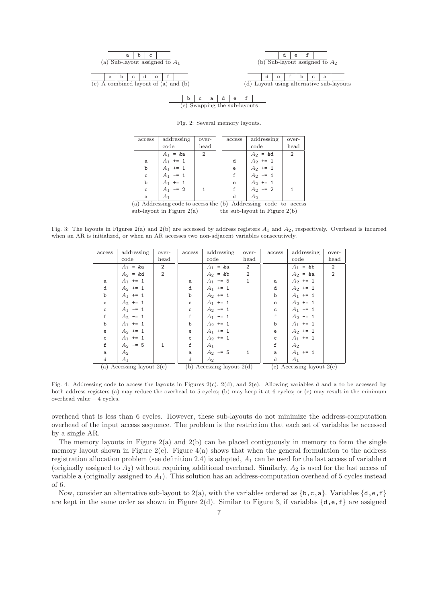

## the sub-layouts

| access                                                          | addressing                  | over- |  | access                          | addressing     | over- |  |
|-----------------------------------------------------------------|-----------------------------|-------|--|---------------------------------|----------------|-------|--|
|                                                                 | code                        | head  |  |                                 | code           | head  |  |
|                                                                 | $A_1 = \&a$                 | 2     |  |                                 | $A_2$ = &d     | 2     |  |
| a                                                               | $A_1$ += 1                  |       |  | d                               | $A_2$ += 1     |       |  |
| b                                                               | $A_1$ += 1                  |       |  | e                               | $A_2$ += 1     |       |  |
| C                                                               | $A_1$ -= 1                  |       |  | f                               | $A_2 = 1$      |       |  |
| b                                                               | $A_1$ += 1                  |       |  | e                               | $A_2$ += 1     |       |  |
| C                                                               | $A_1$ -= 2                  |       |  | f                               | $A_2 = 2$      |       |  |
| a                                                               | A <sub>1</sub>              |       |  | d                               | A <sub>2</sub> |       |  |
| (a) Addressing code to access the (b) Addressing code to access |                             |       |  |                                 |                |       |  |
|                                                                 | sub-layout in Figure $2(a)$ |       |  | the sub-layout in Figure $2(b)$ |                |       |  |

Fig. 2: Several memory layouts.

Fig. 3: The layouts in Figures 2(a) and 2(b) are accessed by address registers  $A_1$  and  $A_2$ , respectively. Overhead is incurred when an AR is initialized, or when an AR accesses two non-adjacent variables consecutively.

| access                                                                                    | addressing     | over-          | access       | addressing     | over-          | access       | addressing     | over-          |
|-------------------------------------------------------------------------------------------|----------------|----------------|--------------|----------------|----------------|--------------|----------------|----------------|
|                                                                                           | code           | head           |              | code           | head           |              | code           | head           |
|                                                                                           | $A_1$ = &a     | 2              |              | $A_1$ = &a     | 2              |              | $A_1$ = &b     | $\overline{2}$ |
|                                                                                           | $A_2$ = &d     | $\overline{2}$ |              | $A_2$ = &b     | $\overline{2}$ |              | $A_2$ = &a     | $\overline{2}$ |
| a                                                                                         | $A_1$ += 1     |                | a            | $A_1$ -= 5     | $\mathbf 1$    | a            | $A_2$ += 1     |                |
| d                                                                                         | $A_2$ += 1     |                | d            | $A_1$ += 1     |                | d            | $A_2$ += 1     |                |
| b                                                                                         | $A_1$ += 1     |                | b            | $A_2$ += 1     |                | b            | $A_1$ += 1     |                |
| e                                                                                         | $A_2$ += 1     |                | e            | $A_1$ += 1     |                | $\mathbf e$  | $A_2$ += 1     |                |
| $\mathsf{C}$                                                                              | $A_1 = 1$      |                | $\mathsf{C}$ | $A_2 = 1$      |                | $\mathsf{C}$ | $A_1$ -= 1     |                |
| $\mathtt f$                                                                               | $A_2 = 1$      |                | $\mathtt f$  | $A_1$ -= 1     |                | $\mathtt f$  | $A_2 = 1$      |                |
| $\mathbf b$                                                                               | $A_1$ += 1     |                | $\mathbf b$  | $A_2$ += 1     |                | b            | $A_1$ += 1     |                |
| e                                                                                         | $A_2$ += 1     |                | e            | $A_1$ += 1     |                | e            | $A_2$ += 1     |                |
| $\mathsf{C}$                                                                              | $A_1$ += 1     |                | $\mathsf{C}$ | $A_2$ += 1     |                | $\mathsf{C}$ | $A_1$ += 1     |                |
| $\mathtt f$                                                                               | $A_2 = 5$      | $\mathbf{1}$   | $\mathtt f$  | $A_1$          |                | $\mathtt f$  | $A_2$          |                |
| a                                                                                         | $A_2$          |                | a            | $A_2 = 5$      |                | a            | $A_1$ += 1     |                |
| d                                                                                         | A <sub>1</sub> |                | d            | A <sub>2</sub> |                | d            | A <sub>1</sub> |                |
| (b) Accessing layout $2(d)$<br>(a) Accessing layout $2(c)$<br>(c) Accessing layout $2(e)$ |                |                |              |                |                |              |                |                |

Fig. 4: Addressing code to access the layouts in Figures 2(c), 2(d), and 2(e). Allowing variables d and a to be accessed by both address registers (a) may reduce the overhead to 5 cycles; (b) may keep it at 6 cycles; or (c) may result in the minimum overhead value – 4 cycles.

overhead that is less than 6 cycles. However, these sub-layouts do not minimize the address-computation overhead of the input access sequence. The problem is the restriction that each set of variables be accessed by a single AR.

The memory layouts in Figure  $2(a)$  and  $2(b)$  can be placed contiguously in memory to form the single memory layout shown in Figure  $2(c)$ . Figure  $4(a)$  shows that when the general formulation to the address registration allocation problem (see definition 2.4) is adopted,  $A_1$  can be used for the last access of variable d (originally assigned to  $A_2$ ) without requiring additional overhead. Similarly,  $A_2$  is used for the last access of variable a (originally assigned to  $A_1$ ). This solution has an address-computation overhead of 5 cycles instead of 6.

Now, consider an alternative sub-layout to  $2(a)$ , with the variables ordered as  $\{b,c,a\}$ . Variables  $\{d,e,f\}$ are kept in the same order as shown in Figure 2(d). Similar to Figure 3, if variables  $\{d, e, f\}$  are assigned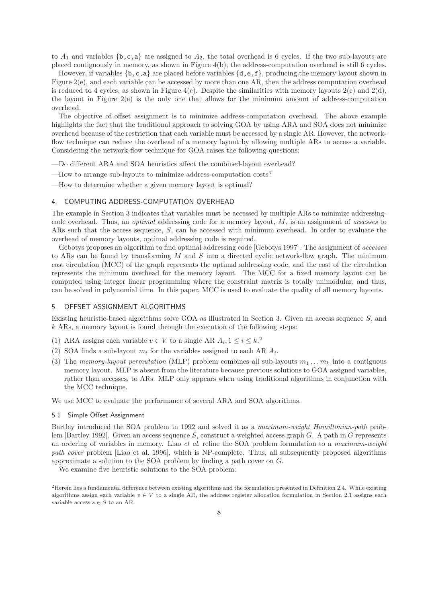to  $A_1$  and variables  $\{b,c,a\}$  are assigned to  $A_2$ , the total overhead is 6 cycles. If the two sub-layouts are placed contiguously in memory, as shown in Figure 4(b), the address-computation overhead is still 6 cycles.

However, if variables  $\{b,c,a\}$  are placed before variables  $\{d,e,f\}$ , producing the memory layout shown in Figure 2(e), and each variable can be accessed by more than one AR, then the address computation overhead is reduced to 4 cycles, as shown in Figure 4(c). Despite the similarities with memory layouts  $2(c)$  and  $2(d)$ , the layout in Figure 2(e) is the only one that allows for the minimum amount of address-computation overhead.

The objective of offset assignment is to minimize address-computation overhead. The above example highlights the fact that the traditional approach to solving GOA by using ARA and SOA does not minimize overhead because of the restriction that each variable must be accessed by a single AR. However, the networkflow technique can reduce the overhead of a memory layout by allowing multiple ARs to access a variable. Considering the network-flow technique for GOA raises the following questions:

- —Do different ARA and SOA heuristics affect the combined-layout overhead?
- —How to arrange sub-layouts to minimize address-computation costs?
- —How to determine whether a given memory layout is optimal?

### 4. COMPUTING ADDRESS-COMPUTATION OVERHEAD

The example in Section 3 indicates that variables must be accessed by multiple ARs to minimize addressingcode overhead. Thus, an optimal addressing code for a memory layout, M, is an assignment of accesses to ARs such that the access sequence, S, can be accessed with minimum overhead. In order to evaluate the overhead of memory layouts, optimal addressing code is required.

Gebotys proposes an algorithm to find optimal addressing code [Gebotys 1997]. The assignment of accesses to ARs can be found by transforming M and S into a directed cyclic network-flow graph. The minimum cost circulation (MCC) of the graph represents the optimal addressing code, and the cost of the circulation represents the minimum overhead for the memory layout. The MCC for a fixed memory layout can be computed using integer linear programming where the constraint matrix is totally unimodular, and thus, can be solved in polynomial time. In this paper, MCC is used to evaluate the quality of all memory layouts.

## 5. OFFSET ASSIGNMENT ALGORITHMS

Existing heuristic-based algorithms solve GOA as illustrated in Section 3. Given an access sequence S, and  $k$  ARs, a memory layout is found through the execution of the following steps:

- (1) ARA assigns each variable  $v \in V$  to a single AR  $A_i, 1 \leq i \leq k$ <sup>2</sup>
- (2) SOA finds a sub-layout  $m_i$  for the variables assigned to each AR  $A_i$ .
- (3) The memory-layout permutation (MLP) problem combines all sub-layouts  $m_1 \ldots m_k$  into a contiguous memory layout. MLP is absent from the literature because previous solutions to GOA assigned variables, rather than accesses, to ARs. MLP only appears when using traditional algorithms in conjunction with the MCC technique.

We use MCC to evaluate the performance of several ARA and SOA algorithms.

## 5.1 Simple Offset Assignment

Bartley introduced the SOA problem in 1992 and solved it as a maximum-weight Hamiltonian-path problem [Bartley 1992]. Given an access sequence S, construct a weighted access graph G. A path in G represents an ordering of variables in memory. Liao et al. refine the SOA problem formulation to a maximum-weight path cover problem [Liao et al. 1996], which is NP-complete. Thus, all subsequently proposed algorithms approximate a solution to the SOA problem by finding a path cover on G.

We examine five heuristic solutions to the SOA problem:

<sup>2</sup>Herein lies a fundamental difference between existing algorithms and the formulation presented in Definition 2.4. While existing algorithms assign each variable  $v \in V$  to a single AR, the address register allocation formulation in Section 2.1 assigns each variable access  $s \in S$  to an AR.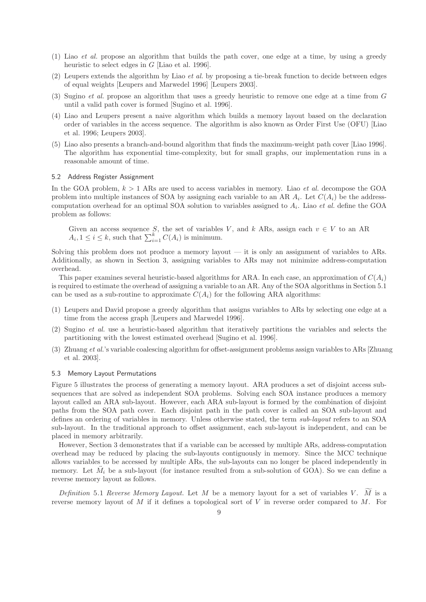- (1) Liao et al. propose an algorithm that builds the path cover, one edge at a time, by using a greedy heuristic to select edges in G [Liao et al. 1996].
- (2) Leupers extends the algorithm by Liao *et al.* by proposing a tie-break function to decide between edges of equal weights [Leupers and Marwedel 1996] [Leupers 2003].
- (3) Sugino et al. propose an algorithm that uses a greedy heuristic to remove one edge at a time from G until a valid path cover is formed [Sugino et al. 1996].
- (4) Liao and Leupers present a naive algorithm which builds a memory layout based on the declaration order of variables in the access sequence. The algorithm is also known as Order First Use (OFU) [Liao et al. 1996; Leupers 2003].
- (5) Liao also presents a branch-and-bound algorithm that finds the maximum-weight path cover [Liao 1996]. The algorithm has exponential time-complexity, but for small graphs, our implementation runs in a reasonable amount of time.

## 5.2 Address Register Assignment

In the GOA problem,  $k > 1$  ARs are used to access variables in memory. Liao *et al.* decompose the GOA problem into multiple instances of SOA by assigning each variable to an AR  $A_i$ . Let  $C(A_i)$  be the addresscomputation overhead for an optimal SOA solution to variables assigned to  $A_i$ . Liao *et al.* define the GOA problem as follows:

Given an access sequence S, the set of variables V, and k ARs, assign each  $v \in V$  to an AR  $A_i, 1 \leq i \leq k$ , such that  $\sum_{i=1}^k C(A_i)$  is minimum.

Solving this problem does not produce a memory layout  $-$  it is only an assignment of variables to ARs. Additionally, as shown in Section 3, assigning variables to ARs may not minimize address-computation overhead.

This paper examines several heuristic-based algorithms for ARA. In each case, an approximation of  $C(A_i)$ is required to estimate the overhead of assigning a variable to an AR. Any of the SOA algorithms in Section 5.1 can be used as a sub-routine to approximate  $C(A_i)$  for the following ARA algorithms:

- (1) Leupers and David propose a greedy algorithm that assigns variables to ARs by selecting one edge at a time from the access graph [Leupers and Marwedel 1996].
- (2) Sugino et al. use a heuristic-based algorithm that iteratively partitions the variables and selects the partitioning with the lowest estimated overhead [Sugino et al. 1996].
- (3) Zhuang et al.'s variable coalescing algorithm for offset-assignment problems assign variables to ARs [Zhuang et al. 2003].

### 5.3 Memory Layout Permutations

Figure 5 illustrates the process of generating a memory layout. ARA produces a set of disjoint access subsequences that are solved as independent SOA problems. Solving each SOA instance produces a memory layout called an ARA sub-layout. However, each ARA sub-layout is formed by the combination of disjoint paths from the SOA path cover. Each disjoint path in the path cover is called an SOA sub-layout and defines an ordering of variables in memory. Unless otherwise stated, the term sub-layout refers to an SOA sub-layout. In the traditional approach to offset assignment, each sub-layout is independent, and can be placed in memory arbitrarily.

However, Section 3 demonstrates that if a variable can be accessed by multiple ARs, address-computation overhead may be reduced by placing the sub-layouts contiguously in memory. Since the MCC technique allows variables to be accessed by multiple ARs, the sub-layouts can no longer be placed independently in memory. Let  $\ddot{M}_i$  be a sub-layout (for instance resulted from a sub-solution of GOA). So we can define a reverse memory layout as follows.

Definition 5.1 Reverse Memory Layout. Let M be a memory layout for a set of variables V. M is a reverse memory layout of  $M$  if it defines a topological sort of  $V$  in reverse order compared to  $M$ . For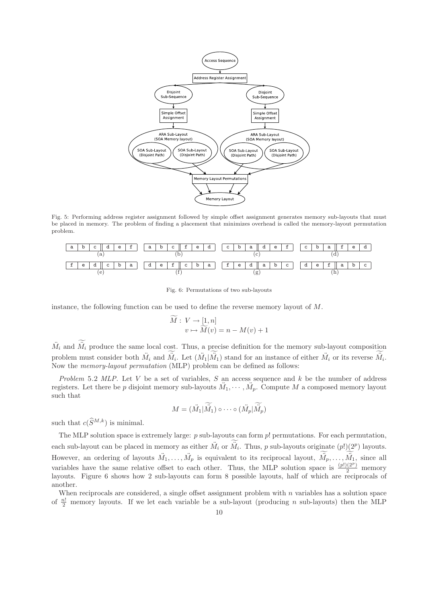

Fig. 5: Performing address register assignment followed by simple offset assignment generates memory sub-layouts that must be placed in memory. The problem of finding a placement that minimizes overhead is called the memory-layout permutation problem.



Fig. 6: Permutations of two sub-layouts

instance, the following function can be used to define the reverse memory layout of  $M$ .

$$
M: V \to [1, n]
$$
  

$$
v \mapsto \widetilde{M}(v) = n - M(v) + 1
$$

 $\ddot{M}_i$  and  $\ddot{M}_i$  produce the same local cost. Thus, a precise definition for the memory sub-layout composition problem must consider both  $\ddot{M}_i$  and  $\ddot{M}_i$ . Let  $(\ddot{M}_1|\ddot{M}_1)$  stand for an instance of either  $\ddot{M}_i$  or its reverse  $\ddot{M}_i$ . Now the memory-layout permutation (MLP) problem can be defined as follows:

Problem 5.2 MLP. Let  $V$  be a set of variables,  $S$  an access sequence and  $k$  be the number of address registers. Let there be p disjoint memory sub-layouts  $\ddot{M}_1, \cdots, \ddot{M}_p$ . Compute M a composed memory layout such that

$$
M = (\tilde{M}_1 | \tilde{\tilde{M}_1}) \circ \cdots \circ (\tilde{M}_p | \tilde{\tilde{M}_p})
$$

such that  $c(\widehat{S}^{M,k})$  is minimal.

The MLP solution space is extremely large:  $p$  sub-layouts can form  $p!$  permutations. For each permutation, each sub-layout can be placed in memory as either  $\ddot{M}_i$  or  $\ddot{M}_i$ . Thus, p sub-layouts originate  $(p!)(2^p)$  layouts. However, an ordering of layouts  $\ddot{M}_1,\ldots,\ddot{M}_p$  is equivalent to its reciprocal layout,  $\ddot{M}_p,\ldots,\ddot{M}_1$ , since all variables have the same relative offset to each other. Thus, the MLP solution space is  $\frac{(p!) (2^p)}{2}$  memory layouts. Figure 6 shows how 2 sub-layouts can form 8 possible layouts, half of which are reciprocals of another.

When reciprocals are considered, a single offset assignment problem with  $n$  variables has a solution space of  $\frac{n!}{2}$  memory layouts. If we let each variable be a sub-layout (producing n sub-layouts) then the MLP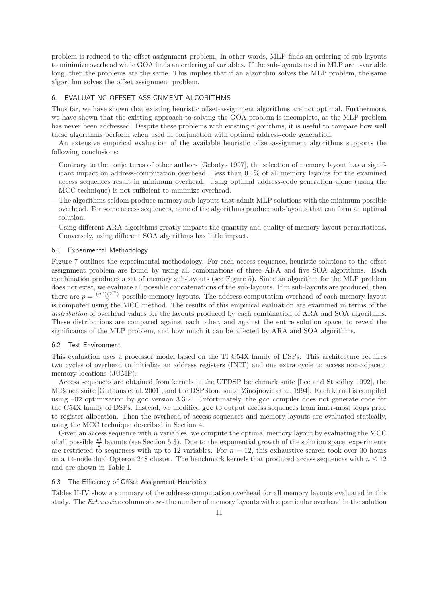problem is reduced to the offset assignment problem. In other words, MLP finds an ordering of sub-layouts to minimize overhead while GOA finds an ordering of variables. If the sub-layouts used in MLP are 1-variable long, then the problems are the same. This implies that if an algorithm solves the MLP problem, the same algorithm solves the offset assignment problem.

## 6. EVALUATING OFFSET ASSIGNMENT ALGORITHMS

Thus far, we have shown that existing heuristic offset-assignment algorithms are not optimal. Furthermore, we have shown that the existing approach to solving the GOA problem is incomplete, as the MLP problem has never been addressed. Despite these problems with existing algorithms, it is useful to compare how well these algorithms perform when used in conjunction with optimal address-code generation.

An extensive empirical evaluation of the available heuristic offset-assignment algorithms supports the following conclusions:

- —Contrary to the conjectures of other authors [Gebotys 1997], the selection of memory layout has a significant impact on address-computation overhead. Less than 0.1% of all memory layouts for the examined access sequences result in minimum overhead. Using optimal address-code generation alone (using the MCC technique) is not sufficient to minimize overhead.
- —The algorithms seldom produce memory sub-layouts that admit MLP solutions with the minimum possible overhead. For some access sequences, none of the algorithms produce sub-layouts that can form an optimal solution.
- —Using different ARA algorithms greatly impacts the quantity and quality of memory layout permutations. Conversely, using different SOA algorithms has little impact.

#### 6.1 Experimental Methodology

Figure 7 outlines the experimental methodology. For each access sequence, heuristic solutions to the offset assignment problem are found by using all combinations of three ARA and five SOA algorithms. Each combination produces a set of memory sub-layouts (see Figure 5). Since an algorithm for the MLP problem does not exist, we evaluate all possible concatenations of the sub-layouts. If  $m$  sub-layouts are produced, then there are  $p = \frac{(m!)(2^m)}{2}$  $\frac{2}{2}$  possible memory layouts. The address-computation overhead of each memory layout is computed using the MCC method. The results of this empirical evaluation are examined in terms of the distribution of overhead values for the layouts produced by each combination of ARA and SOA algorithms. These distributions are compared against each other, and against the entire solution space, to reveal the significance of the MLP problem, and how much it can be affected by ARA and SOA algorithms.

#### 6.2 Test Environment

This evaluation uses a processor model based on the TI C54X family of DSPs. This architecture requires two cycles of overhead to initialize an address registers (INIT) and one extra cycle to access non-adjacent memory locations (JUMP).

Access sequences are obtained from kernels in the UTDSP benchmark suite [Lee and Stoodley 1992], the MiBench suite [Guthaus et al. 2001], and the DSPStone suite [Zinojnovic et al. 1994]. Each kernel is compiled using -O2 optimization by gcc version 3.3.2. Unfortunately, the gcc compiler does not generate code for the C54X family of DSPs. Instead, we modified gcc to output access sequences from inner-most loops prior to register allocation. Then the overhead of access sequences and memory layouts are evaluated statically, using the MCC technique described in Section 4.

Given an access sequence with  $n$  variables, we compute the optimal memory layout by evaluating the MCC of all possible  $\frac{n!}{2}$  layouts (see Section 5.3). Due to the exponential growth of the solution space, experiments are restricted to sequences with up to 12 variables. For  $n = 12$ , this exhaustive search took over 30 hours on a 14-node dual Opteron 248 cluster. The benchmark kernels that produced access sequences with  $n \leq 12$ and are shown in Table I.

## 6.3 The Efficiency of Offset Assignment Heuristics

Tables II-IV show a summary of the address-computation overhead for all memory layouts evaluated in this study. The Exhaustive column shows the number of memory layouts with a particular overhead in the solution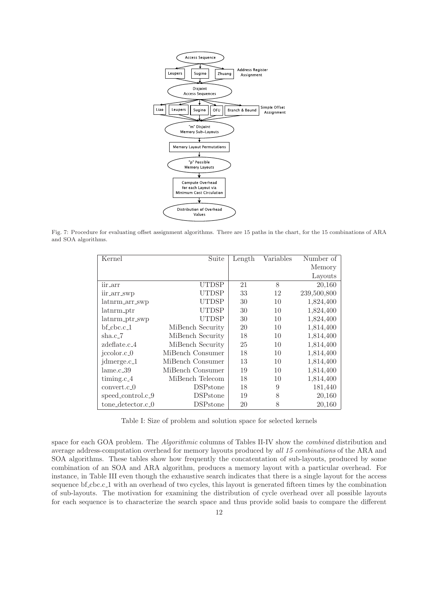

Fig. 7: Procedure for evaluating offset assignment algorithms. There are 15 paths in the chart, for the 15 combinations of ARA and SOA algorithms.

| Kernel                    | Suite            | Length | Variables | Number of   |
|---------------------------|------------------|--------|-----------|-------------|
|                           |                  |        |           | Memory      |
|                           |                  |        |           | Layouts     |
| iir_arr                   | UTDSP            | 21     | 8         | 20,160      |
| iir_arr_swp               | UTDSP            | 33     | 12        | 239,500,800 |
| latnrm_arr_swp            | UTDSP            | 30     | 10        | 1,824,400   |
| latnrm_ptr                | UTDSP            | 30     | 10        | 1,824,400   |
| $\text{laturm\_ptr\_swp}$ | UTDSP            | 30     | 10        | 1,824,400   |
| $bf_c$ cbc.c $\_1$        | MiBench Security | 20     | 10        | 1,814,400   |
| sha.c 7                   | MiBench Security | 18     | 10        | 1,814,400   |
| zdeflate.c.4              | MiBench Security | 25     | 10        | 1,814,400   |
| jccolor.c_0               | MiBench Consumer | 18     | 10        | 1,814,400   |
| jdmerge.c_1               | MiBench Consumer | 13     | 10        | 1,814,400   |
| lame.c.39                 | MiBench Consumer | 19     | 10        | 1,814,400   |
| $\text{timing.c.4}$       | MiBench Telecom  | 18     | 10        | 1,814,400   |
| $convert.c_0$             | <b>DSP</b> stone | 18     | 9         | 181,440     |
| speed_control.c_9         | <b>DSPstone</b>  | 19     | 8         | 20,160      |
| tone_detector.c_0         | <b>DSP</b> stone | 20     | 8         | 20,160      |

Table I: Size of problem and solution space for selected kernels

space for each GOA problem. The *Algorithmic* columns of Tables II-IV show the *combined* distribution and average address-computation overhead for memory layouts produced by all 15 combinations of the ARA and SOA algorithms. These tables show how frequently the concatentation of sub-layouts, produced by some combination of an SOA and ARA algorithm, produces a memory layout with a particular overhead. For instance, in Table III even though the exhaustive search indicates that there is a single layout for the access sequence bf cbc.c 1 with an overhead of two cycles, this layout is generated fifteen times by the combination of sub-layouts. The motivation for examining the distribution of cycle overhead over all possible layouts for each sequence is to characterize the search space and thus provide solid basis to compare the different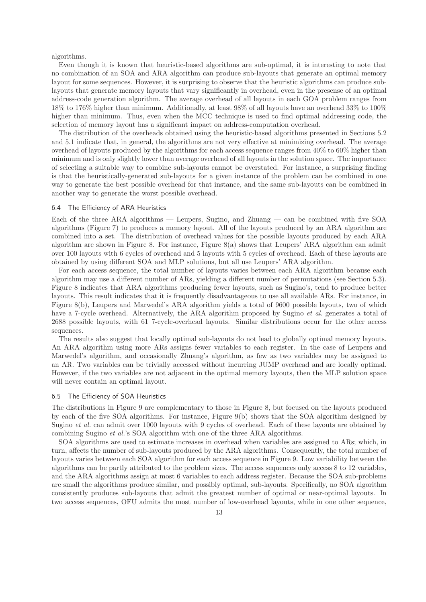algorithms.

Even though it is known that heuristic-based algorithms are sub-optimal, it is interesting to note that no combination of an SOA and ARA algorithm can produce sub-layouts that generate an optimal memory layout for some sequences. However, it is surprising to observe that the heuristic algorithms can produce sublayouts that generate memory layouts that vary significantly in overhead, even in the presense of an optimal address-code generation algorithm. The average overhead of all layouts in each GOA problem ranges from 18% to 176% higher than minimum. Additionally, at least 98% of all layouts have an overhead 33% to 100% higher than minimum. Thus, even when the MCC technique is used to find optimal addressing code, the selection of memory layout has a significant impact on address-computation overhead.

The distribution of the overheads obtained using the heuristic-based algorithms presented in Sections 5.2 and 5.1 indicate that, in general, the algorithms are not very effective at minimizing overhead. The average overhead of layouts produced by the algorithms for each access sequence ranges from 40% to 60% higher than minimum and is only slightly lower than average overhead of all layouts in the solution space. The importance of selecting a suitable way to combine sub-layouts cannot be overstated. For instance, a surprising finding is that the heuristically-generated sub-layouts for a given instance of the problem can be combined in one way to generate the best possible overhead for that instance, and the same sub-layouts can be combined in another way to generate the worst possible overhead.

#### 6.4 The Efficiency of ARA Heuristics

Each of the three ARA algorithms — Leupers, Sugino, and Zhuang — can be combined with five SOA algorithms (Figure 7) to produces a memory layout. All of the layouts produced by an ARA algorithm are combined into a set. The distribution of overhead values for the possible layouts produced by each ARA algorithm are shown in Figure 8. For instance, Figure 8(a) shows that Leupers' ARA algorithm can admit over 100 layouts with 6 cycles of overhead and 5 layouts with 5 cycles of overhead. Each of these layouts are obtained by using different SOA and MLP solutions, but all use Leupers' ARA algorithm.

For each access sequence, the total number of layouts varies between each ARA algorithm because each algorithm may use a different number of ARs, yielding a different number of permutations (see Section 5.3). Figure 8 indicates that ARA algorithms producing fewer layouts, such as Sugino's, tend to produce better layouts. This result indicates that it is frequently disadvantageous to use all available ARs. For instance, in Figure 8(b), Leupers and Marwedel's ARA algorithm yields a total of 9600 possible layouts, two of which have a 7-cycle overhead. Alternatively, the ARA algorithm proposed by Sugino *et al.* generates a total of 2688 possible layouts, with 61 7-cycle-overhead layouts. Similar distributions occur for the other access sequences.

The results also suggest that locally optimal sub-layouts do not lead to globally optimal memory layouts. An ARA algorithm using more ARs assigns fewer variables to each register. In the case of Leupers and Marwedel's algorithm, and occasionally Zhuang's algorithm, as few as two variables may be assigned to an AR. Two variables can be trivially accessed without incurring JUMP overhead and are locally optimal. However, if the two variables are not adjacent in the optimal memory layouts, then the MLP solution space will never contain an optimal layout.

### 6.5 The Efficiency of SOA Heuristics

The distributions in Figure 9 are complementary to those in Figure 8, but focused on the layouts produced by each of the five SOA algorithms. For instance, Figure 9(b) shows that the SOA algorithm designed by Sugino et al. can admit over 1000 layouts with 9 cycles of overhead. Each of these layouts are obtained by combining Sugino et al.'s SOA algorithm with one of the three ARA algorithms.

SOA algorithms are used to estimate increases in overhead when variables are assigned to ARs; which, in turn, affects the number of sub-layouts produced by the ARA algorithms. Consequently, the total number of layouts varies between each SOA algorithm for each access sequence in Figure 9. Low variability between the algorithms can be partly attributed to the problem sizes. The access sequences only access 8 to 12 variables, and the ARA algorithms assign at most 6 variables to each address register. Because the SOA sub-problems are small the algorithms produce similar, and possibly optimal, sub-layouts. Specifically, no SOA algorithm consistently produces sub-layouts that admit the greatest number of optimal or near-optimal layouts. In two access sequences, OFU admits the most number of low-overhead layouts, while in one other sequence,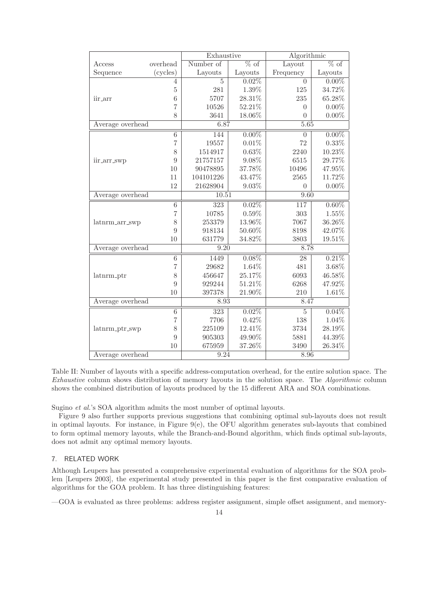|                  |                  | Exhaustive     |                             | Algorithmic      |                             |  |
|------------------|------------------|----------------|-----------------------------|------------------|-----------------------------|--|
| Access           | overhead         | Number of      | $\overline{\% \text{ of }}$ | Layout           | $\overline{\% \text{ of }}$ |  |
| Sequence         | (cycles)         | Layouts        | Layouts                     | Frequency        | Layouts                     |  |
|                  | 4                | $\overline{5}$ | 0.02%                       | $\theta$         | $0.00\%$                    |  |
|                  | $\overline{5}$   | 281            | 1.39%                       | 125              | 34.72%                      |  |
| iir_arr          | $\boldsymbol{6}$ | 5707           | 28.31%                      | 235              | 65.28%                      |  |
|                  | $\overline{7}$   | 10526          | 52.21%                      | $\overline{0}$   | $0.00\%$                    |  |
|                  | 8                | 3641           | 18.06%                      | $\theta$         | $0.00\%$                    |  |
| Average overhead |                  | 6.87           |                             | 5.65             |                             |  |
|                  | $\,6$            | 144            | $0.00\%$                    | $\overline{0}$   | $0.00\%$                    |  |
|                  | $\overline{7}$   | 19557          | 0.01%                       | 72               | 0.33%                       |  |
|                  | 8                | 1514917        | 0.63%                       | 2240             | 10.23%                      |  |
| iir_arr_swp      | 9                | 21757157       | 9.08%                       | 6515             | 29.77%                      |  |
|                  | 10               | 90478895       | 37.78%                      | 10496            | 47.95%                      |  |
|                  | 11               | 104101226      | 43.47%                      | 2565             | 11.72%                      |  |
|                  | 12               | 21628904       | 9.03%                       | $\overline{0}$   | $0.00\%$                    |  |
| Average overhead |                  | 10.51          |                             | 9.60             |                             |  |
|                  | 6                | 323            | 0.02%                       | $\overline{117}$ | $0.60\%$                    |  |
|                  | $\overline{7}$   | 10785          | 0.59%                       | 303              | 1.55%                       |  |
| latnrm_arr_swp   | 8                | 253379         | 13.96%                      | 7067             | 36.26%                      |  |
|                  | 9                | 918134         | 50.60%                      | 8198             | 42.07%                      |  |
|                  | 10               | 631779         | 34.82%                      | 3803             | 19.51%                      |  |
| Average overhead |                  | 9.20           |                             | 8.78             |                             |  |
|                  | $\,$ 6 $\,$      | 1449           | $0.08\%$                    | 28               | 0.21%                       |  |
|                  | $\overline{7}$   | 29682          | 1.64%                       | 481              | 3.68%                       |  |
| latnrm_ptr       | 8                | 456647         | 25.17%                      | 6093             | 46.58%                      |  |
|                  | 9                | 929244         | 51.21%                      | 6268             | 47.92%                      |  |
|                  | 10               | 397378         | 21.90%                      | 210              | 1.61%                       |  |
| Average overhead |                  | 8.93           |                             | 8.47             |                             |  |
|                  | $\overline{6}$   | 323            | 0.02%                       | $\overline{5}$   | 0.04%                       |  |
|                  | $\overline{7}$   | 7706           | 0.42%                       | 138              | 1.04%                       |  |
| latnrm_ptr_swp   | 8                | 225109         | 12.41%                      | 3734             | 28.19%                      |  |
|                  | 9                | 905303         | 49.90%                      | 5881             | 44.39%                      |  |
|                  | 10               | 675959         | 37.26%                      | 3490             | 26.34%                      |  |
| Average overhead |                  | 9.24           |                             | 8.96             |                             |  |

Table II: Number of layouts with a specific address-computation overhead, for the entire solution space. The Exhaustive column shows distribution of memory layouts in the solution space. The Algorithmic column shows the combined distribution of layouts produced by the 15 different ARA and SOA combinations.

Sugino et al.'s SOA algorithm admits the most number of optimal layouts.

Figure 9 also further supports previous suggestions that combining optimal sub-layouts does not result in optimal layouts. For instance, in Figure  $9(e)$ , the OFU algorithm generates sub-layouts that combined to form optimal memory layouts, while the Branch-and-Bound algorithm, which finds optimal sub-layouts, does not admit any optimal memory layouts.

## 7. RELATED WORK

Although Leupers has presented a comprehensive experimental evaluation of algorithms for the SOA problem [Leupers 2003], the experimental study presented in this paper is the first comparative evaluation of algorithms for the GOA problem. It has three distinguishing features:

—GOA is evaluated as three problems: address register assignment, simple offset assignment, and memory-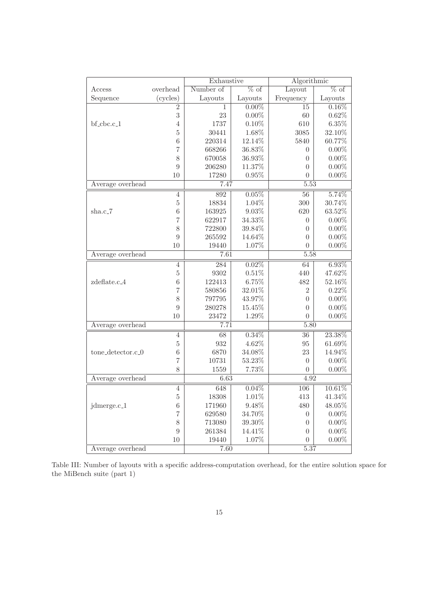|                   |                  | Exhaustive |           | Algorithmic      |                             |  |
|-------------------|------------------|------------|-----------|------------------|-----------------------------|--|
| Access            | overhead         | Number of  | $%$ of    | Layout           | $\overline{\% \text{ of }}$ |  |
| Sequence          | (cycles)         | Layouts    | Layouts   | Frequency        | Layouts                     |  |
|                   | $\overline{2}$   | 1          | $0.00\%$  | 15               | $0.16\%$                    |  |
|                   | $\overline{3}$   | 23         | $0.00\%$  | 60               | 0.62%                       |  |
| bf_cbc.c_1        | $\overline{4}$   | 1737       | $0.10\%$  | 610              | $6.35\%$                    |  |
|                   | $\overline{5}$   | 30441      | 1.68%     | 3085             | $32.10\%$                   |  |
|                   | $\boldsymbol{6}$ | 220314     | 12.14%    | 5840             | 60.77%                      |  |
|                   | 7                | 668266     | 36.83%    | $\theta$         | $0.00\%$                    |  |
|                   | 8                | 670058     | 36.93%    | $\theta$         | $0.00\%$                    |  |
|                   | 9                | 206280     | 11.37%    | $\overline{0}$   | $0.00\%$                    |  |
|                   | 10               | 17280      | 0.95%     | $\Omega$         | $0.00\%$                    |  |
| Average overhead  |                  | 7.47       |           | 5.53             |                             |  |
|                   | $\overline{4}$   | 892        | 0.05%     | $\overline{56}$  | 5.74%                       |  |
|                   | $\overline{5}$   | 18834      | 1.04%     | 300              | 30.74%                      |  |
| sha.c.7           | $\boldsymbol{6}$ | 163925     | $9.03\%$  | 620              | 63.52%                      |  |
|                   | $\overline{7}$   | 622917     | 34.33%    | $\theta$         | $0.00\%$                    |  |
|                   | 8                | 722800     | $39.84\%$ | $\theta$         | $0.00\%$                    |  |
|                   | 9                | 265592     | 14.64%    | $\overline{0}$   | $0.00\%$                    |  |
|                   | 10               | 19440      | 1.07%     | $\theta$         | $0.00\%$                    |  |
| Average overhead  |                  | 7.61       |           | 5.58             |                             |  |
|                   | $\overline{4}$   | 284        | 0.02%     | 64               | 6.93%                       |  |
|                   | $\rm 5$          | 9302       | 0.51%     | 440              | 47.62%                      |  |
| zdeflate.c_4      | $\boldsymbol{6}$ | 122413     | 6.75%     | 482              | 52.16%                      |  |
|                   | 7                | 580856     | 32.01%    | $\overline{2}$   | 0.22%                       |  |
|                   | 8                | 797795     | 43.97%    | $\theta$         | $0.00\%$                    |  |
|                   | 9                | 280278     | 15.45%    | $\overline{0}$   | $0.00\%$                    |  |
|                   | 10               | 23472      | 1.29%     | $\overline{0}$   | $0.00\%$                    |  |
| Average overhead  |                  | 7.71       |           | 5.80             |                             |  |
|                   | $\overline{4}$   | 68         | $0.34\%$  | 36               | 23.38%                      |  |
|                   | $\bf 5$          | 932        | $4.62\%$  | $\rm 95$         | 61.69%                      |  |
| tone_detector.c_0 | $\boldsymbol{6}$ | 6870       | 34.08%    | 23               | 14.94%                      |  |
|                   | $\overline{7}$   | 10731      | 53.23%    | $\theta$         | $0.00\%$                    |  |
|                   | 8                | 1559       | $7.73\%$  | $\overline{0}$   | $0.00\%$                    |  |
| Average overhead  |                  | 6.63       |           | 4.92             |                             |  |
|                   | $\,4\,$          | 648        | 0.04%     | 106              | $10.61\%$                   |  |
|                   | $\rm 5$          | 18308      | $1.01\%$  | 413              | $41.34\%$                   |  |
| jdmerge.c_1       | $\,6$            | 171960     | 9.48%     | 480              | 48.05%                      |  |
|                   | $\,7$            | 629580     | 34.70%    | $\boldsymbol{0}$ | $0.00\%$                    |  |
|                   | $8\,$            | 713080     | $39.30\%$ | $\overline{0}$   | $0.00\%$                    |  |
|                   | 9                | 261384     | 14.41%    | $\theta$         | $0.00\%$                    |  |
|                   | 10               | 19440      | $1.07\%$  | $\theta$         | $0.00\%$                    |  |
| Average overhead  |                  | 7.60       |           | 5.37             |                             |  |
|                   |                  |            |           |                  |                             |  |

Table III: Number of layouts with a specific address-computation overhead, for the entire solution space for the MiBench suite (part 1)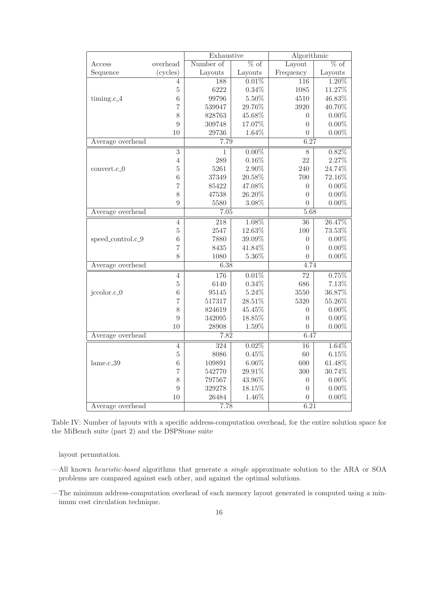|                        |                | Exhaustive       |                             | Algorithmic      |                             |  |
|------------------------|----------------|------------------|-----------------------------|------------------|-----------------------------|--|
| Access                 | overhead       | Number of        | $\overline{\% \text{ of }}$ | Layout           | $\overline{\% \text{ of }}$ |  |
| Sequence               | (cycles)       | Layouts          | Layouts                     | Frequency        | Layouts                     |  |
|                        | 4              | 188              | 0.01%                       | 116              | 1.20%                       |  |
|                        | $\overline{5}$ | 6222             | $0.34\%$                    | 1085             | 11.27%                      |  |
| timing.c <sub>-4</sub> | $\overline{6}$ | 99796            | $5.50\%$                    | 4510             | 46.83%                      |  |
|                        | $\overline{7}$ | 539947           | 29.76%                      | 3920             | 40.70%                      |  |
|                        | 8              | 828763           | 45.68%                      | $\overline{0}$   | $0.00\%$                    |  |
|                        | 9              | 309748           | 17.07%                      | $\overline{0}$   | $0.00\%$                    |  |
|                        | 10             | 29736            | $1.64\%$                    | $\boldsymbol{0}$ | $0.00\%$                    |  |
| Average overhead       |                | 7.79             |                             | 6.27             |                             |  |
|                        | $\overline{3}$ | $\overline{1}$   | $0.00\%$                    | $8\,$            | $0.82\%$                    |  |
|                        | $\overline{4}$ | 289              | $0.16\%$                    | 22               | 2.27%                       |  |
| $convert.c_0$          | $\rm 5$        | 5261             | $2.90\%$                    | 240              | 24.74%                      |  |
|                        | $\,$ 6 $\,$    | 37349            | 20.58%                      | 700              | 72.16%                      |  |
|                        | $\overline{7}$ | 85422            | 47.08%                      | $\overline{0}$   | $0.00\%$                    |  |
|                        | 8              | $\!7538$         | 26.20%                      | $\overline{0}$   | $0.00\%$                    |  |
|                        | $\overline{9}$ | 5580             | $3.08\%$                    | $\overline{0}$   | $0.00\%$                    |  |
| Average overhead       |                | 7.05             |                             | 5.68             |                             |  |
|                        | $\overline{4}$ | $\overline{218}$ | 1.08%                       | $\overline{36}$  | 26.47%                      |  |
|                        | $\rm 5$        | 2547             | 12.63%                      | 100              | 73.53%                      |  |
| speed_control.c_9      | $\overline{6}$ | 7880             | $39.09\%$                   | $\boldsymbol{0}$ | $0.00\%$                    |  |
|                        | $\overline{7}$ | 8435             | 41.84%                      | $\overline{0}$   | $0.00\%$                    |  |
|                        | 8              | 1080             | $5.36\%$                    | $\overline{0}$   | $0.00\%$                    |  |
| Average overhead       |                | 6.38             |                             | 4.74             |                             |  |
|                        | $\overline{4}$ | 176              | 0.01%                       | 72               | 0.75%                       |  |
|                        | $\rm 5$        | 6140             | 0.34%                       | 686              | 7.13%                       |  |
| jccolor.c_0            | $\overline{6}$ | 95145            | $5.24\%$                    | 3550             | 36.87%                      |  |
|                        | $\overline{7}$ | 517317           | $28.51\%$                   | 5320             | 55.26%                      |  |
|                        | 8              | 824619           | $45.45\%$                   | $\overline{0}$   | $0.00\%$                    |  |
|                        | 9              | 342095           | 18.85%                      | $\overline{0}$   | $0.00\%$                    |  |
|                        | 10             | 28908            | $1.59\%$                    | $\overline{0}$   | $0.00\%$                    |  |
| Average overhead       |                | 7.82             |                             | 6.47             |                             |  |
|                        | $\overline{4}$ | 324              | 0.02%                       | $\overline{16}$  | $1.64\%$                    |  |
|                        | $\rm 5$        | 8086             | $0.45\%$                    | 60               | $6.15\%$                    |  |
| lame.c.39              | $\sqrt{6}$     | 109891           | $6.06\%$                    | 600              | 61.48%                      |  |
|                        | $\overline{7}$ | 542770           | 29.91%                      | 300              | 30.74%                      |  |
|                        | $\,$ $\,$      | 797567           | 43.96%                      | $\boldsymbol{0}$ | $0.00\%$                    |  |
|                        | $\overline{9}$ | 329278           | 18.15%                      | $\overline{0}$   | $0.00\%$                    |  |
|                        | 10             | 26484            | $1.46\%$                    | $\overline{0}$   | $0.00\%$                    |  |
| Average overhead       |                | 7.78             |                             | 6.21             |                             |  |

Table IV: Number of layouts with a specific address-computation overhead, for the entire solution space for the MiBench suite (part 2) and the DSPStone suite

layout permutation.

—All known heuristic-based algorithms that generate a single approximate solution to the ARA or SOA problems are compared against each other, and against the optimal solutions.

—The minimum address-computation overhead of each memory layout generated is computed using a minimum cost circulation technique.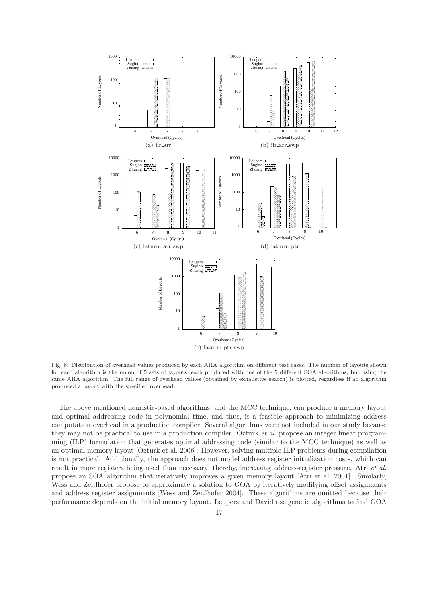

Fig. 8: Distribution of overhead values produced by each ARA algorithm on different test cases. The number of layouts shown for each algorithm is the union of 5 sets of layouts, each produced with one of the 5 different SOA algorithms, but using the same ARA algorithm. The full range of overhead values (obtained by exhaustive search) is plotted, regardless if an algorithm produced a layout with the specified overhead.

The above mentioned heuristic-based algorithms, and the MCC technique, can produce a memory layout and optimal addressing code in polynomial time, and thus, is a feasible approach to minimizing address computation overhead in a production compiler. Several algorithms were not included in our study because they may not be practical to use in a production compiler. Ozturk et al. propose an integer linear programming (ILP) formulation that generates optimal addressing code (similar to the MCC technique) as well as an optimal memory layout [Ozturk et al. 2006]. However, solving multiple ILP problems during compilation is not practical. Additionally, the approach does not model address register initialization costs, which can result in more registers being used than necessary; thereby, increasing address-register pressure. Atri et al. propose an SOA algorithm that iteratively improves a given memory layout [Atri et al. 2001]. Similarly, Wess and Zeitlhofer propose to approximate a solution to GOA by iteratively modifying offset assignments and address register assignments [Wess and Zeitlhofer 2004]. These algorithms are omitted because their performance depends on the initial memory layout. Leupers and David use genetic algorithms to find GOA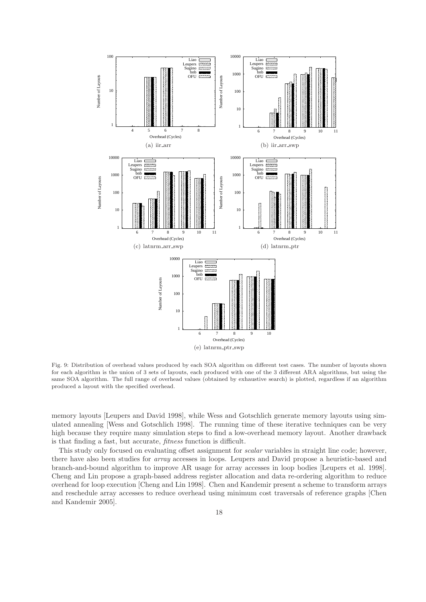

Fig. 9: Distribution of overhead values produced by each SOA algorithm on different test cases. The number of layouts shown for each algorithm is the union of 3 sets of layouts, each produced with one of the 3 different ARA algorithms, but using the same SOA algorithm. The full range of overhead values (obtained by exhaustive search) is plotted, regardless if an algorithm produced a layout with the specified overhead.

memory layouts [Leupers and David 1998], while Wess and Gotschlich generate memory layouts using simulated annealing [Wess and Gotschlich 1998]. The running time of these iterative techniques can be very high because they require many simulation steps to find a low-overhead memory layout. Another drawback is that finding a fast, but accurate, fitness function is difficult.

This study only focused on evaluating offset assignment for *scalar* variables in straight line code; however, there have also been studies for array accesses in loops. Leupers and David propose a heuristic-based and branch-and-bound algorithm to improve AR usage for array accesses in loop bodies [Leupers et al. 1998]. Cheng and Lin propose a graph-based address register allocation and data re-ordering algorithm to reduce overhead for loop execution [Cheng and Lin 1998]. Chen and Kandemir present a scheme to transform arrays and reschedule array accesses to reduce overhead using minimum cost traversals of reference graphs [Chen and Kandemir 2005].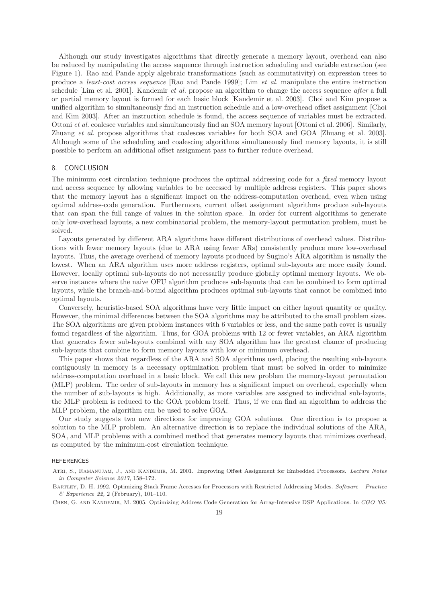Although our study investigates algorithms that directly generate a memory layout, overhead can also be reduced by manipulating the access sequence through instruction scheduling and variable extraction (see Figure 1). Rao and Pande apply algebraic transformations (such as commutativity) on expression trees to produce a least-cost access sequence [Rao and Pande 1999]; Lim et al. manipulate the entire instruction schedule [Lim et al. 2001]. Kandemir et al. propose an algorithm to change the access sequence after a full or partial memory layout is formed for each basic block [Kandemir et al. 2003]. Choi and Kim propose a unified algorithm to simultaneously find an instruction schedule and a low-overhead offset assignment [Choi and Kim 2003]. After an instruction schedule is found, the access sequence of variables must be extracted. Ottoni et al. coalesce variables and simultaneously find an SOA memory layout [Ottoni et al. 2006]. Similarly, Zhuang et al. propose algorithms that coalesces variables for both SOA and GOA [Zhuang et al. 2003]. Although some of the scheduling and coalescing algorithms simultaneously find memory layouts, it is still possible to perform an additional offset assignment pass to further reduce overhead.

## 8. CONCLUSION

The minimum cost circulation technique produces the optimal addressing code for a *fixed* memory layout and access sequence by allowing variables to be accessed by multiple address registers. This paper shows that the memory layout has a significant impact on the address-computation overhead, even when using optimal address-code generation. Furthermore, current offset assignment algorithms produce sub-layouts that can span the full range of values in the solution space. In order for current algorithms to generate only low-overhead layouts, a new combinatorial problem, the memory-layout permutation problem, must be solved.

Layouts generated by different ARA algorithms have different distributions of overhead values. Distributions with fewer memory layouts (due to ARA using fewer ARs) consistently produce more low-overhead layouts. Thus, the average overhead of memory layouts produced by Sugino's ARA algorithm is usually the lowest. When an ARA algorithm uses more address registers, optimal sub-layouts are more easily found. However, locally optimal sub-layouts do not necessarily produce globally optimal memory layouts. We observe instances where the naive OFU algorithm produces sub-layouts that can be combined to form optimal layouts, while the branch-and-bound algorithm produces optimal sub-layouts that cannot be combined into optimal layouts.

Conversely, heuristic-based SOA algorithms have very little impact on either layout quantity or quality. However, the minimal differences between the SOA algorithms may be attributed to the small problem sizes. The SOA algorithms are given problem instances with 6 variables or less, and the same path cover is usually found regardless of the algorithm. Thus, for GOA problems with 12 or fewer variables, an ARA algorithm that generates fewer sub-layouts combined with any SOA algorithm has the greatest chance of producing sub-layouts that combine to form memory layouts with low or minimum overhead.

This paper shows that regardless of the ARA and SOA algorithms used, placing the resulting sub-layouts contiguously in memory is a necessary optimization problem that must be solved in order to minimize address-computation overhead in a basic block. We call this new problem the memory-layout permutation (MLP) problem. The order of sub-layouts in memory has a significant impact on overhead, especially when the number of sub-layouts is high. Additionally, as more variables are assigned to individual sub-layouts, the MLP problem is reduced to the GOA problem itself. Thus, if we can find an algorithm to address the MLP problem, the algorithm can be used to solve GOA.

Our study suggests two new directions for improving GOA solutions. One direction is to propose a solution to the MLP problem. An alternative direction is to replace the individual solutions of the ARA, SOA, and MLP problems with a combined method that generates memory layouts that minimizes overhead, as computed by the minimum-cost circulation technique.

#### REFERENCES

ATRI, S., RAMANUJAM, J., AND KANDEMIR, M. 2001. Improving Offset Assignment for Embedded Processors. Lecture Notes in Computer Science 2017, 158–172.

Bartley, D. H. 1992. Optimizing Stack Frame Accesses for Processors with Restricted Addressing Modes. Software – Practice & Experience 22, 2 (February), 101–110.

CHEN, G. AND KANDEMIR, M. 2005. Optimizing Address Code Generation for Array-Intensive DSP Applications. In CGO '05: